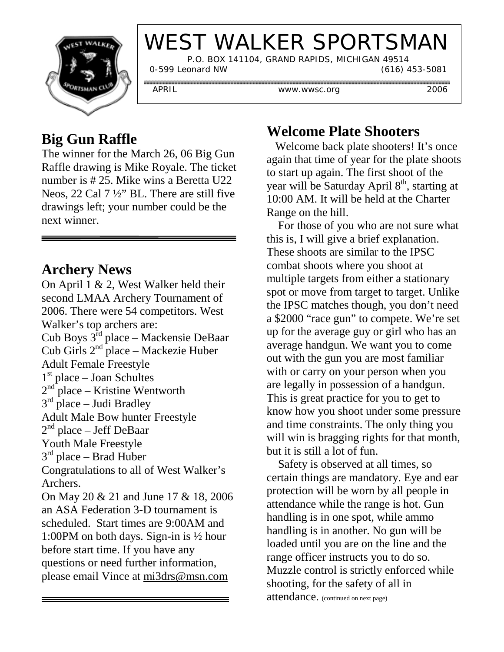

# WEST WALKER SPORTSMAN

P.O. BOX 141104, GRAND RAPIDS, MICHIGAN 49514

0-599 Leonard NW (616) 453-5081

............................

APRIL www.wwsc.org 2006

,,,,,,,,,,,,,,,,,,,,,

## **Big Gun Raffle**

The winner for the March 26, 06 Big Gun Raffle drawing is Mike Royale. The ticket number is # 25. Mike wins a Beretta U22 Neos, 22 Cal 7 ½" BL. There are still five drawings left; your number could be the next winner.

#### **Archery News**

On April 1 & 2, West Walker held their second LMAA Archery Tournament of 2006. There were 54 competitors. West Walker's top archers are: Cub Boys 3rd place – Mackensie DeBaar Cub Girls  $2<sup>nd</sup>$  place – Mackezie Huber Adult Female Freestyle  $1<sup>st</sup>$  place – Joan Schultes<br> $2<sup>nd</sup>$  place – Kristine Wen  $2<sup>nd</sup>$  place – Kristine Wentworth  $3<sup>rd</sup>$  place – Judi Bradley Adult Male Bow hunter Freestyle  $2<sup>nd</sup>$  place – Jeff DeBaar Youth Male Freestyle  $3<sup>rd</sup>$  place – Brad Huber Congratulations to all of West Walker's Archers. On May 20 & 21 and June 17 & 18, 2006 an ASA Federation 3-D tournament is scheduled. Start times are 9:00AM and 1:00PM on both days. Sign-in is ½ hour before start time. If you have any questions or need further information, please email Vince at mi3drs@msn.com

### **Welcome Plate Shooters**

 Welcome back plate shooters! It's once again that time of year for the plate shoots to start up again. The first shoot of the year will be Saturday April 8<sup>th</sup>, starting at 10:00 AM. It will be held at the Charter Range on the hill.

 For those of you who are not sure what this is, I will give a brief explanation. These shoots are similar to the IPSC combat shoots where you shoot at multiple targets from either a stationary spot or move from target to target. Unlike the IPSC matches though, you don't need a \$2000 "race gun" to compete. We're set up for the average guy or girl who has an average handgun. We want you to come out with the gun you are most familiar with or carry on your person when you are legally in possession of a handgun. This is great practice for you to get to know how you shoot under some pressure and time constraints. The only thing you will win is bragging rights for that month, but it is still a lot of fun.

 Safety is observed at all times, so certain things are mandatory. Eye and ear protection will be worn by all people in attendance while the range is hot. Gun handling is in one spot, while ammo handling is in another. No gun will be loaded until you are on the line and the range officer instructs you to do so. Muzzle control is strictly enforced while shooting, for the safety of all in attendance. (continued on next page)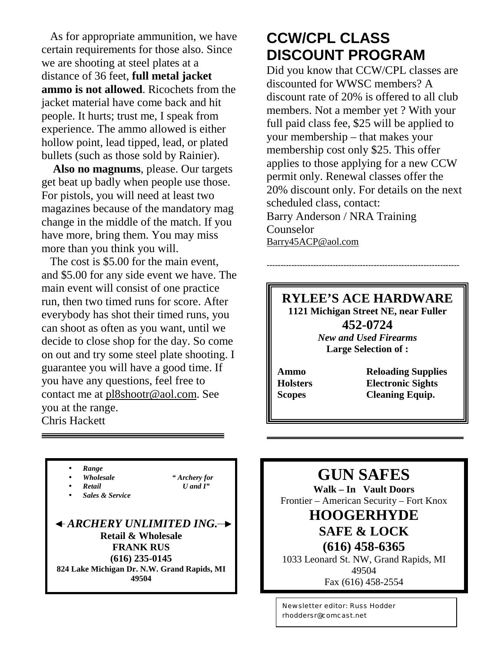As for appropriate ammunition, we have certain requirements for those also. Since we are shooting at steel plates at a distance of 36 feet, **full metal jacket ammo is not allowed**. Ricochets from the jacket material have come back and hit people. It hurts; trust me, I speak from experience. The ammo allowed is either hollow point, lead tipped, lead, or plated bullets (such as those sold by Rainier).

 **Also no magnums**, please. Our targets get beat up badly when people use those. For pistols, you will need at least two magazines because of the mandatory mag change in the middle of the match. If you have more, bring them. You may miss more than you think you will.

The cost is \$5.00 for the main event. and \$5.00 for any side event we have. The main event will consist of one practice run, then two timed runs for score. After everybody has shot their timed runs, you can shoot as often as you want, until we decide to close shop for the day. So come on out and try some steel plate shooting. I guarantee you will have a good time. If you have any questions, feel free to contact me at pl8shootr@aol.com. See you at the range. Chris Hackett

# **CCW/CPL CLASS DISCOUNT PROGRAM**

Did you know that CCW/CPL classes are discounted for WWSC members? A discount rate of 20% is offered to all club members. Not a member yet ? With your full paid class fee, \$25 will be applied to your membership – that makes your membership cost only \$25. This offer applies to those applying for a new CCW permit only. Renewal classes offer the 20% discount only. For details on the next scheduled class, contact: Barry Anderson / NRA Training Counselor Barry45ACP@aol.com

#### **RYLEE'S ACE HARDWARE 1121 Michigan Street NE, near Fuller 452-0724** *New and Used Firearms*

----------------------------------------------------------------------

**Large Selection of :**

**Ammo Reloading Supplies Holsters Electronic Sights Scopes Cleaning Equip.**

• *Retail U and I"* • *Sales & Service ARCHERY UNLIMITED ING.* **Retail & Wholesale FRANK RUS (616) 235-0145 824 Lake Michigan Dr. N.W. Grand Rapids, MI 49504**

• *Wholesale " Archery for*

• *Range*

**GUN SAFES**

**Walk – In Vault Doors** Frontier – American Security – Fort Knox

#### **HOOGERHYDE SAFE & LOCK**

**(616) 458-6365** 1033 Leonard St. NW, Grand Rapids, MI 49504 Fax (616) 458-2554

Newsletter editor: Russ Hodder rhoddersr@comcast.net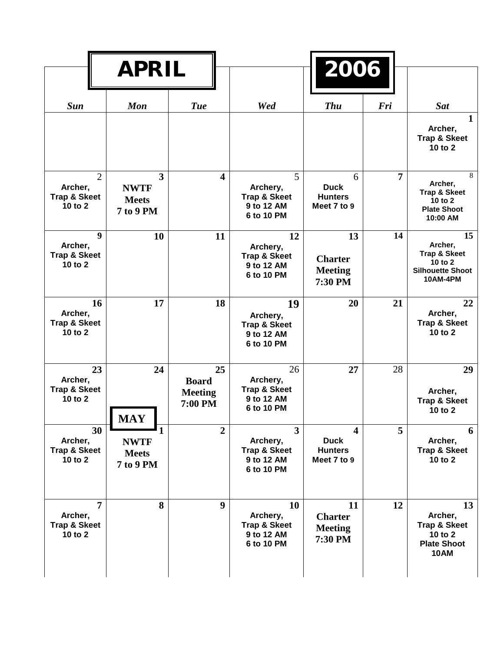|                                                                 | <b>APRIL</b>                                                               |                                                 |                                                                       | 2006                                                                    |     |                                                                                                     |
|-----------------------------------------------------------------|----------------------------------------------------------------------------|-------------------------------------------------|-----------------------------------------------------------------------|-------------------------------------------------------------------------|-----|-----------------------------------------------------------------------------------------------------|
| <b>Sun</b>                                                      | <b>Mon</b>                                                                 | <b>Tue</b>                                      | Wed                                                                   | <b>Thu</b>                                                              | Fri | <b>Sat</b>                                                                                          |
|                                                                 |                                                                            |                                                 |                                                                       |                                                                         |     | $\mathbf{1}$<br>Archer,<br><b>Trap &amp; Skeet</b><br>10 to 2                                       |
| $\overline{2}$<br>Archer,<br><b>Trap &amp; Skeet</b><br>10 to 2 | $\overline{\mathbf{3}}$<br><b>NWTF</b><br><b>Meets</b><br><b>7 to 9 PM</b> | $\overline{\mathbf{4}}$                         | 5<br>Archery,<br><b>Trap &amp; Skeet</b><br>9 to 12 AM<br>6 to 10 PM  | 6<br><b>Duck</b><br><b>Hunters</b><br>Meet 7 to 9                       | 7   | 8<br>Archer,<br><b>Trap &amp; Skeet</b><br>10 to 2<br><b>Plate Shoot</b><br>10:00 AM                |
| 9<br>Archer,<br><b>Trap &amp; Skeet</b><br>10 to 2              | 10                                                                         | 11                                              | 12<br>Archery,<br><b>Trap &amp; Skeet</b><br>9 to 12 AM<br>6 to 10 PM | 13<br><b>Charter</b><br><b>Meeting</b><br>7:30 PM                       | 14  | 15<br>Archer,<br><b>Trap &amp; Skeet</b><br>10 to $2$<br><b>Silhouette Shoot</b><br><b>10AM-4PM</b> |
| 16<br>Archer,<br><b>Trap &amp; Skeet</b><br>10 to 2             | 17                                                                         | 18                                              | 19<br>Archery,<br><b>Trap &amp; Skeet</b><br>9 to 12 AM<br>6 to 10 PM | 20                                                                      | 21  | 22<br>Archer,<br><b>Trap &amp; Skeet</b><br>10 to 2                                                 |
| 23<br>Archer,<br><b>Trap &amp; Skeet</b><br>10 to 2             | 24<br><b>MAY</b>                                                           | 25<br><b>Board</b><br><b>Meeting</b><br>7:00 PM | 26<br>Archery,<br><b>Trap &amp; Skeet</b><br>9 to 12 AM<br>6 to 10 PM | 27                                                                      | 28  | 29<br>Archer,<br><b>Trap &amp; Skeet</b><br>10 to 2                                                 |
| 30<br>Archer,<br><b>Trap &amp; Skeet</b><br>10 to 2             | $\mathbf{1}$<br><b>NWTF</b><br><b>Meets</b><br>7 to 9 PM                   | $\overline{2}$                                  | 3<br>Archery,<br><b>Trap &amp; Skeet</b><br>9 to 12 AM<br>6 to 10 PM  | $\overline{\mathbf{4}}$<br><b>Duck</b><br><b>Hunters</b><br>Meet 7 to 9 | 5   | 6<br>Archer,<br><b>Trap &amp; Skeet</b><br>10 to 2                                                  |
| $\overline{7}$<br>Archer,<br><b>Trap &amp; Skeet</b><br>10 to 2 | 8                                                                          | $\boldsymbol{9}$                                | 10<br>Archery,<br><b>Trap &amp; Skeet</b><br>9 to 12 AM<br>6 to 10 PM | 11<br><b>Charter</b><br><b>Meeting</b><br>7:30 PM                       | 12  | 13<br>Archer,<br><b>Trap &amp; Skeet</b><br>10 to 2<br><b>Plate Shoot</b><br><b>10AM</b>            |